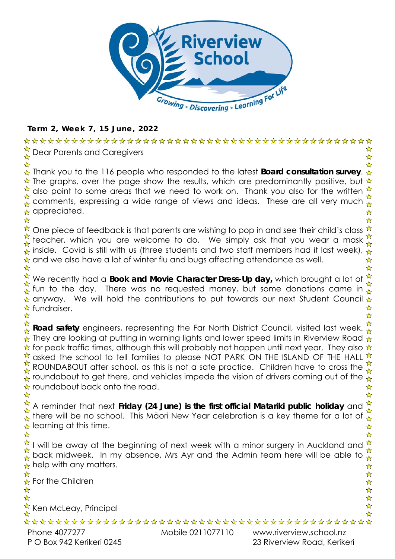

### **Term 2, Week 7, 15 June, 2022**

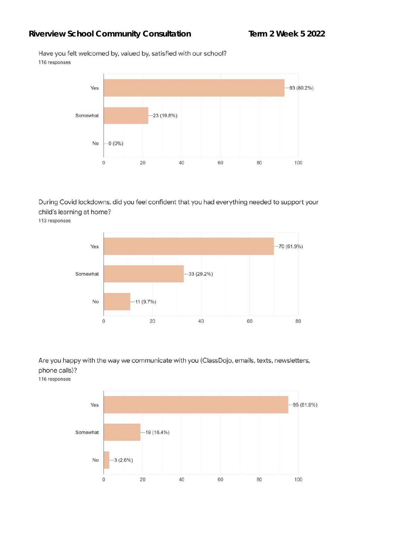### Riverview School Community Consultation Term 2 Week 5 2022

Have you felt welcomed by, valued by, satisfied with our school? 116 responses



During Covid lockdowns, did you feel confident that you had everything needed to support your child's learning at home?

113 responses



Are you happy with the way we communicate with you (ClassDojo, emails, texts, newsletters, phone calls)?

116 responses

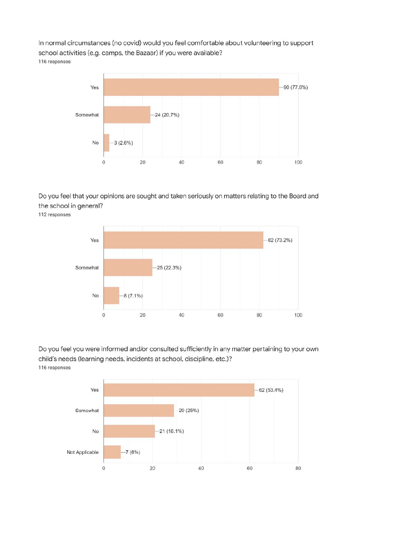In normal circumstances (no covid) would you feel comfortable about volunteering to support school activities (e.g. camps, the Bazaar) if you were available? 116 responses



#### Do you feel that your opinions are sought and taken seriously on matters relating to the Board and the school in general?

112 responses



Do you feel you were informed and/or consulted sufficiently in any matter pertaining to your own child's needs (learning needs, incidents at school, discipline, etc.)? 116 responses